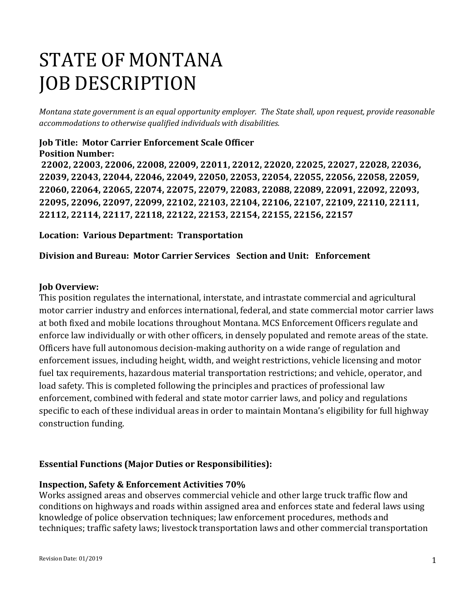# STATE OF MONTANA JOB DESCRIPTION

*Montana state government is an equal opportunity employer. The State shall, upon request, provide reasonable accommodations to otherwise qualified individuals with disabilities.*

# **Job Title: Motor Carrier Enforcement Scale Officer**

**Position Number: 22002, 22003, 22006, 22008, 22009, 22011, 22012, 22020, 22025, 22027, 22028, 22036, 22039, 22043, 22044, 22046, 22049, 22050, 22053, 22054, 22055, 22056, 22058, 22059, 22060, 22064, 22065, 22074, 22075, 22079, 22083, 22088, 22089, 22091, 22092, 22093, 22095, 22096, 22097, 22099, 22102, 22103, 22104, 22106, 22107, 22109, 22110, 22111, 22112, 22114, 22117, 22118, 22122, 22153, 22154, 22155, 22156, 22157** 

### **Location: Various Department: Transportation**

## **Division and Bureau: Motor Carrier Services Section and Unit: Enforcement**

#### **Job Overview:**

This position regulates the international, interstate, and intrastate commercial and agricultural motor carrier industry and enforces international, federal, and state commercial motor carrier laws at both fixed and mobile locations throughout Montana. MCS Enforcement Officers regulate and enforce law individually or with other officers, in densely populated and remote areas of the state. Officers have full autonomous decision-making authority on a wide range of regulation and enforcement issues, including height, width, and weight restrictions, vehicle licensing and motor fuel tax requirements, hazardous material transportation restrictions; and vehicle, operator, and load safety. This is completed following the principles and practices of professional law enforcement, combined with federal and state motor carrier laws, and policy and regulations specific to each of these individual areas in order to maintain Montana's eligibility for full highway construction funding.

# **Essential Functions (Major Duties or Responsibilities):**

### **Inspection, Safety & Enforcement Activities 70%**

Works assigned areas and observes commercial vehicle and other large truck traffic flow and conditions on highways and roads within assigned area and enforces state and federal laws using knowledge of police observation techniques; law enforcement procedures, methods and techniques; traffic safety laws; livestock transportation laws and other commercial transportation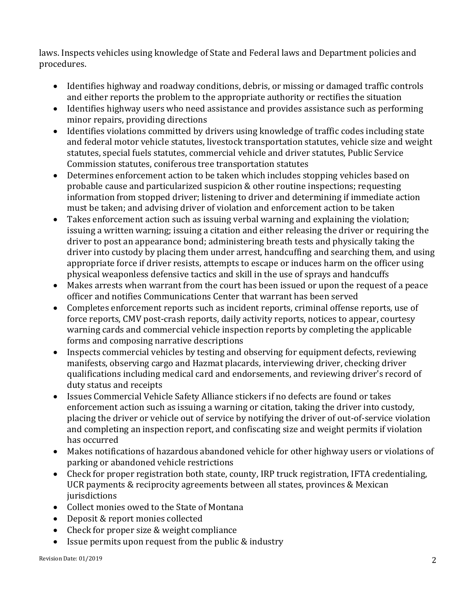laws. Inspects vehicles using knowledge of State and Federal laws and Department policies and procedures.

- Identifies highway and roadway conditions, debris, or missing or damaged traffic controls and either reports the problem to the appropriate authority or rectifies the situation
- Identifies highway users who need assistance and provides assistance such as performing minor repairs, providing directions
- Identifies violations committed by drivers using knowledge of traffic codes including state and federal motor vehicle statutes, livestock transportation statutes, vehicle size and weight statutes, special fuels statutes, commercial vehicle and driver statutes, Public Service Commission statutes, coniferous tree transportation statutes
- Determines enforcement action to be taken which includes stopping vehicles based on probable cause and particularized suspicion & other routine inspections; requesting information from stopped driver; listening to driver and determining if immediate action must be taken; and advising driver of violation and enforcement action to be taken
- Takes enforcement action such as issuing verbal warning and explaining the violation; issuing a written warning; issuing a citation and either releasing the driver or requiring the driver to post an appearance bond; administering breath tests and physically taking the driver into custody by placing them under arrest, handcuffing and searching them, and using appropriate force if driver resists, attempts to escape or induces harm on the officer using physical weaponless defensive tactics and skill in the use of sprays and handcuffs
- Makes arrests when warrant from the court has been issued or upon the request of a peace officer and notifies Communications Center that warrant has been served
- Completes enforcement reports such as incident reports, criminal offense reports, use of force reports, CMV post-crash reports, daily activity reports, notices to appear, courtesy warning cards and commercial vehicle inspection reports by completing the applicable forms and composing narrative descriptions
- Inspects commercial vehicles by testing and observing for equipment defects, reviewing manifests, observing cargo and Hazmat placards, interviewing driver, checking driver qualifications including medical card and endorsements, and reviewing driver's record of duty status and receipts
- Issues Commercial Vehicle Safety Alliance stickers if no defects are found or takes enforcement action such as issuing a warning or citation, taking the driver into custody, placing the driver or vehicle out of service by notifying the driver of out-of-service violation and completing an inspection report, and confiscating size and weight permits if violation has occurred
- Makes notifications of hazardous abandoned vehicle for other highway users or violations of parking or abandoned vehicle restrictions
- Check for proper registration both state, county, IRP truck registration, IFTA credentialing, UCR payments & reciprocity agreements between all states, provinces & Mexican jurisdictions
- Collect monies owed to the State of Montana
- Deposit & report monies collected
- Check for proper size & weight compliance
- Issue permits upon request from the public & industry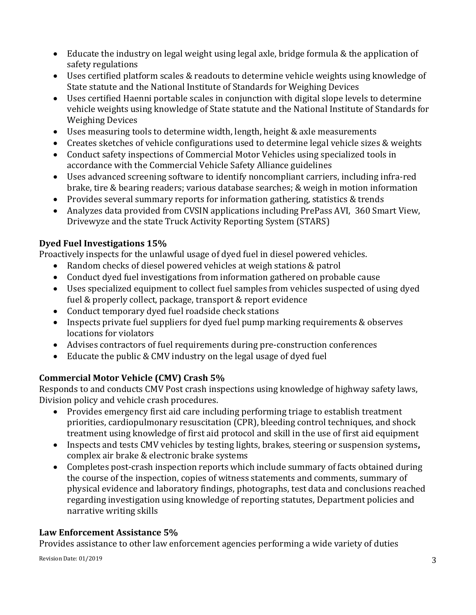- Educate the industry on legal weight using legal axle, bridge formula & the application of safety regulations
- Uses certified platform scales & readouts to determine vehicle weights using knowledge of State statute and the National Institute of Standards for Weighing Devices
- Uses certified Haenni portable scales in conjunction with digital slope levels to determine vehicle weights using knowledge of State statute and the National Institute of Standards for Weighing Devices
- Uses measuring tools to determine width, length, height & axle measurements
- Creates sketches of vehicle configurations used to determine legal vehicle sizes & weights
- Conduct safety inspections of Commercial Motor Vehicles using specialized tools in accordance with the Commercial Vehicle Safety Alliance guidelines
- Uses advanced screening software to identify noncompliant carriers, including infra-red brake, tire & bearing readers; various database searches; & weigh in motion information
- Provides several summary reports for information gathering, statistics & trends
- Analyzes data provided from CVSIN applications including PrePass AVI, 360 Smart View, Drivewyze and the state Truck Activity Reporting System (STARS)

# **Dyed Fuel Investigations 15%**

Proactively inspects for the unlawful usage of dyed fuel in diesel powered vehicles.

- Random checks of diesel powered vehicles at weigh stations & patrol
- Conduct dyed fuel investigations from information gathered on probable cause
- Uses specialized equipment to collect fuel samples from vehicles suspected of using dyed fuel & properly collect, package, transport & report evidence
- Conduct temporary dyed fuel roadside check stations
- Inspects private fuel suppliers for dyed fuel pump marking requirements & observes locations for violators
- Advises contractors of fuel requirements during pre-construction conferences
- Educate the public & CMV industry on the legal usage of dyed fuel

# **Commercial Motor Vehicle (CMV) Crash 5%**

Responds to and conducts CMV Post crash inspections using knowledge of highway safety laws, Division policy and vehicle crash procedures.

- Provides emergency first aid care including performing triage to establish treatment priorities, cardiopulmonary resuscitation (CPR), bleeding control techniques, and shock treatment using knowledge of first aid protocol and skill in the use of first aid equipment
- Inspects and tests CMV vehicles by testing lights, brakes, steering or suspension systems**,**  complex air brake & electronic brake systems
- Completes post-crash inspection reports which include summary of facts obtained during the course of the inspection, copies of witness statements and comments, summary of physical evidence and laboratory findings, photographs, test data and conclusions reached regarding investigation using knowledge of reporting statutes, Department policies and narrative writing skills

# **Law Enforcement Assistance 5%**

Provides assistance to other law enforcement agencies performing a wide variety of duties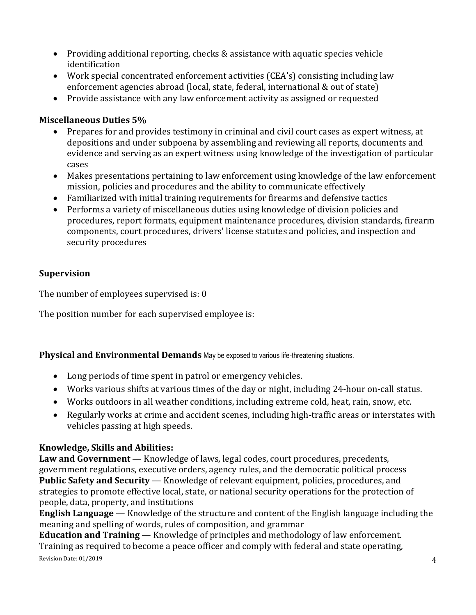- Providing additional reporting, checks & assistance with aquatic species vehicle identification
- Work special concentrated enforcement activities (CEA's) consisting including law enforcement agencies abroad (local, state, federal, international & out of state)
- Provide assistance with any law enforcement activity as assigned or requested

# **Miscellaneous Duties 5%**

- Prepares for and provides testimony in criminal and civil court cases as expert witness, at depositions and under subpoena by assembling and reviewing all reports, documents and evidence and serving as an expert witness using knowledge of the investigation of particular cases
- Makes presentations pertaining to law enforcement using knowledge of the law enforcement mission, policies and procedures and the ability to communicate effectively
- Familiarized with initial training requirements for firearms and defensive tactics
- Performs a variety of miscellaneous duties using knowledge of division policies and procedures, report formats, equipment maintenance procedures, division standards, firearm components, court procedures, drivers' license statutes and policies, and inspection and security procedures

# **Supervision**

The number of employees supervised is: 0

The position number for each supervised employee is:

# **Physical and Environmental Demands** May be exposed to various life-threatening situations.

- Long periods of time spent in patrol or emergency vehicles.
- Works various shifts at various times of the day or night, including 24-hour on-call status.
- Works outdoors in all weather conditions, including extreme cold, heat, rain, snow, etc.
- Regularly works at crime and accident scenes, including high-traffic areas or interstates with vehicles passing at high speeds.

# **Knowledge, Skills and Abilities:**

Law and Government — Knowledge of laws, legal codes, court procedures, precedents, government regulations, executive orders, agency rules, and the democratic political process **Public Safety and Security** — Knowledge of relevant equipment, policies, procedures, and strategies to promote effective local, state, or national security operations for the protection of people, data, property, and institutions

**English Language** — Knowledge of the structure and content of the English language including the meaning and spelling of words, rules of composition, and grammar

**Education and Training** — Knowledge of principles and methodology of law enforcement.

Revision Date:  $01/2019$  4 Training as required to become a peace officer and comply with federal and state operating,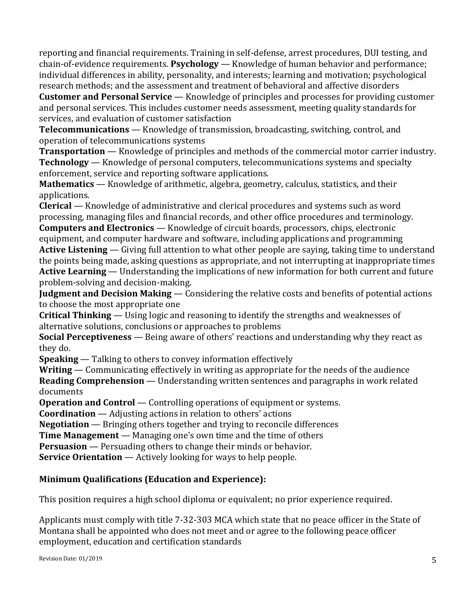reporting and financial requirements. Training in self-defense, arrest procedures, DUI testing, and chain-of-evidence requirements. **Psychology** — Knowledge of human behavior and performance; individual differences in ability, personality, and interests; learning and motivation; psychological research methods; and the assessment and treatment of behavioral and affective disorders

**Customer and Personal Service** — Knowledge of principles and processes for providing customer and personal services. This includes customer needs assessment, meeting quality standards for services, and evaluation of customer satisfaction

**Telecommunications** — Knowledge of transmission, broadcasting, switching, control, and operation of telecommunications systems

**Transportation** — Knowledge of principles and methods of the commercial motor carrier industry. **Technology** — Knowledge of personal computers, telecommunications systems and specialty enforcement, service and reporting software applications.

**Mathematics** — Knowledge of arithmetic, algebra, geometry, calculus, statistics, and their applications.

**Clerical** — Knowledge of administrative and clerical procedures and systems such as word processing, managing files and financial records, and other office procedures and terminology. **Computers and Electronics** — Knowledge of circuit boards, processors, chips, electronic

equipment, and computer hardware and software, including applications and programming **Active Listening** — Giving full attention to what other people are saying, taking time to understand the points being made, asking questions as appropriate, and not interrupting at inappropriate times **Active Learning** — Understanding the implications of new information for both current and future problem-solving and decision-making.

**Judgment and Decision Making** — Considering the relative costs and benefits of potential actions to choose the most appropriate one

**Critical Thinking** — Using logic and reasoning to identify the strengths and weaknesses of alternative solutions, conclusions or approaches to problems

**Social Perceptiveness** — Being aware of others' reactions and understanding why they react as they do.

**Speaking** — Talking to others to convey information effectively

**Writing** — Communicating effectively in writing as appropriate for the needs of the audience **Reading Comprehension** — Understanding written sentences and paragraphs in work related documents

**Operation and Control — Controlling operations of equipment or systems.** 

**Coordination** — Adjusting actions in relation to others' actions

**Negotiation** — Bringing others together and trying to reconcile differences

**Time Management** — Managing one's own time and the time of others

**Persuasion** — Persuading others to change their minds or behavior.

**Service Orientation** — Actively looking for ways to help people.

# **Minimum Qualifications (Education and Experience):**

This position requires a high school diploma or equivalent; no prior experience required.

Applicants must comply with title 7-32-303 MCA which state that no peace officer in the State of Montana shall be appointed who does not meet and or agree to the following peace officer employment, education and certification standards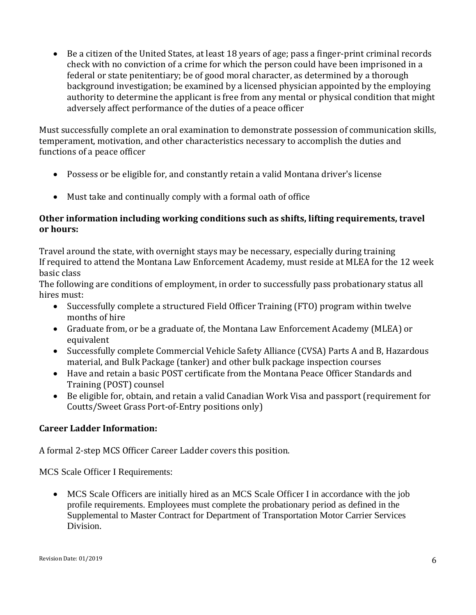• Be a citizen of the United States, at least 18 years of age; pass a finger-print criminal records check with no conviction of a crime for which the person could have been imprisoned in a federal or state penitentiary; be of good moral character, as determined by a thorough background investigation; be examined by a licensed physician appointed by the employing authority to determine the applicant is free from any mental or physical condition that might adversely affect performance of the duties of a peace officer

Must successfully complete an oral examination to demonstrate possession of communication skills, temperament, motivation, and other characteristics necessary to accomplish the duties and functions of a peace officer

- Possess or be eligible for, and constantly retain a valid Montana driver's license
- Must take and continually comply with a formal oath of office

## **Other information including working conditions such as shifts, lifting requirements, travel or hours:**

Travel around the state, with overnight stays may be necessary, especially during training If required to attend the Montana Law Enforcement Academy, must reside at MLEA for the 12 week basic class

The following are conditions of employment, in order to successfully pass probationary status all hires must:

- Successfully complete a structured Field Officer Training (FTO) program within twelve months of hire
- Graduate from, or be a graduate of, the Montana Law Enforcement Academy (MLEA) or equivalent
- Successfully complete Commercial Vehicle Safety Alliance (CVSA) Parts A and B, Hazardous material, and Bulk Package (tanker) and other bulk package inspection courses
- Have and retain a basic POST certificate from the Montana Peace Officer Standards and Training (POST) counsel
- Be eligible for, obtain, and retain a valid Canadian Work Visa and passport (requirement for Coutts/Sweet Grass Port-of-Entry positions only)

# **Career Ladder Information:**

A formal 2-step MCS Officer Career Ladder covers this position.

MCS Scale Officer I Requirements:

• MCS Scale Officers are initially hired as an MCS Scale Officer I in accordance with the job profile requirements. Employees must complete the probationary period as defined in the Supplemental to Master Contract for Department of Transportation Motor Carrier Services Division.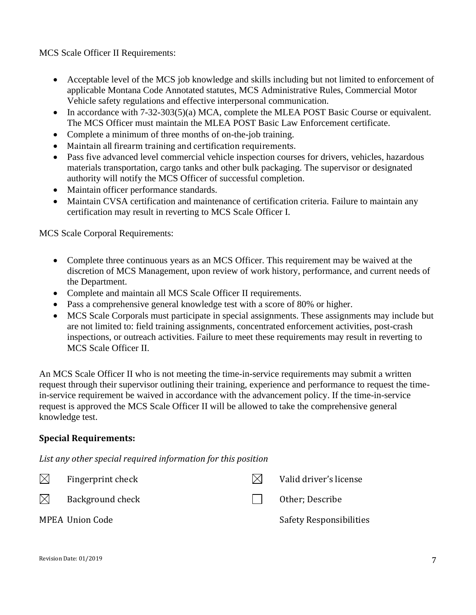MCS Scale Officer II Requirements:

- Acceptable level of the MCS job knowledge and skills including but not limited to enforcement of applicable Montana Code Annotated statutes, MCS Administrative Rules, Commercial Motor Vehicle safety regulations and effective interpersonal communication.
- In accordance with 7-32-303(5)(a) MCA, complete the MLEA POST Basic Course or equivalent. The MCS Officer must maintain the MLEA POST Basic Law Enforcement certificate.
- Complete a minimum of three months of on-the-job training.
- Maintain all firearm training and certification requirements.
- Pass five advanced level commercial vehicle inspection courses for drivers, vehicles, hazardous materials transportation, cargo tanks and other bulk packaging. The supervisor or designated authority will notify the MCS Officer of successful completion.
- Maintain officer performance standards.
- Maintain CVSA certification and maintenance of certification criteria. Failure to maintain any certification may result in reverting to MCS Scale Officer I.

MCS Scale Corporal Requirements:

- Complete three continuous years as an MCS Officer. This requirement may be waived at the discretion of MCS Management, upon review of work history, performance, and current needs of the Department.
- Complete and maintain all MCS Scale Officer II requirements.
- Pass a comprehensive general knowledge test with a score of 80% or higher.
- MCS Scale Corporals must participate in special assignments. These assignments may include but are not limited to: field training assignments, concentrated enforcement activities, post-crash inspections, or outreach activities. Failure to meet these requirements may result in reverting to MCS Scale Officer II.

An MCS Scale Officer II who is not meeting the time-in-service requirements may submit a written request through their supervisor outlining their training, experience and performance to request the timein-service requirement be waived in accordance with the advancement policy. If the time-in-service request is approved the MCS Scale Officer II will be allowed to take the comprehensive general knowledge test.

# **Special Requirements:**

*List any other special required information for this position*

| $\boxtimes$ | Fingerprint check      | -IXI | Valid driver's license         |
|-------------|------------------------|------|--------------------------------|
| $\boxtimes$ | Background check       |      | Other; Describe                |
|             | <b>MPEA Union Code</b> |      | <b>Safety Responsibilities</b> |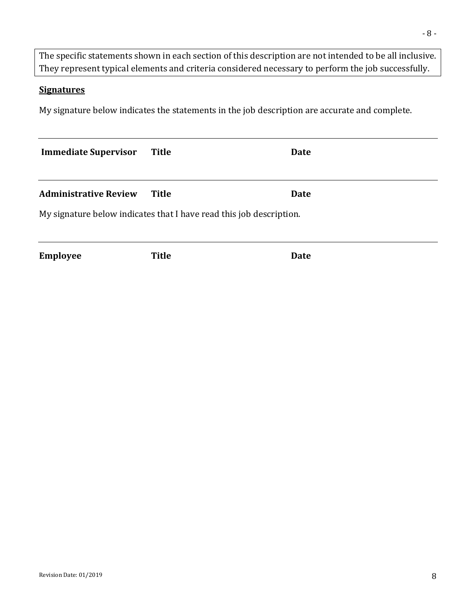The specific statements shown in each section of this description are not intended to be all inclusive. They represent typical elements and criteria considered necessary to perform the job successfully.

### **Signatures**

My signature below indicates the statements in the job description are accurate and complete.

| <b>Immediate Supervisor</b>                                         | <b>Title</b> | Date |  |  |  |  |
|---------------------------------------------------------------------|--------------|------|--|--|--|--|
|                                                                     |              |      |  |  |  |  |
| <b>Administrative Review</b>                                        | <b>Title</b> | Date |  |  |  |  |
| My signature below indicates that I have read this job description. |              |      |  |  |  |  |
|                                                                     |              |      |  |  |  |  |
| <b>Employee</b>                                                     | Title        | Date |  |  |  |  |